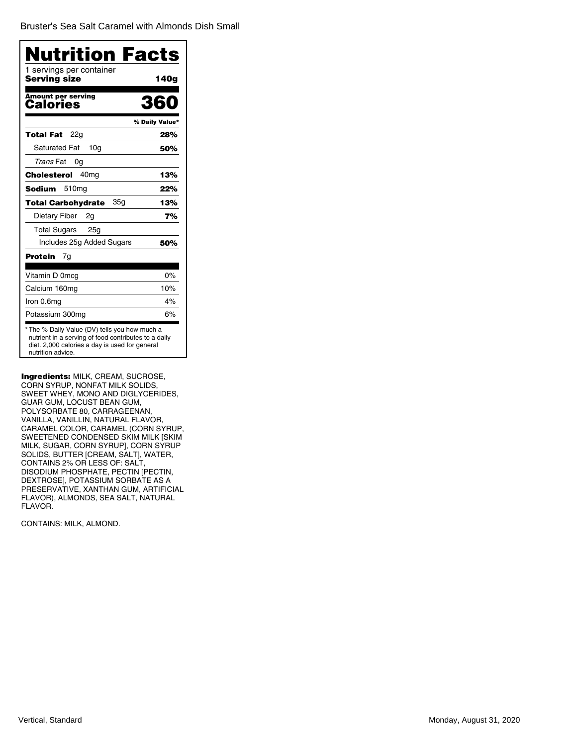Bruster's [Sea Salt Caramel with Almonds Dish Small](�)

| 1 servings per container<br>Serving size | 140g           |
|------------------------------------------|----------------|
| <b>Amount per serving</b><br>Calories    | 360            |
|                                          | % Daily Value* |
| 22a<br>Total Fat                         | 28%            |
| <b>Saturated Fat</b><br>10a              | 50%            |
| Trans Fat<br>0g                          |                |
| 40 <sub>mq</sub><br>Cholesterol          | 13%            |
| 510mg<br>Sodium                          | 22%            |
| 35g<br>Total Carbohydrate                | 13%            |
| Dietary Fiber<br>2g                      | 7%             |
| <b>Total Sugars</b><br>25 <sub>g</sub>   |                |
| Includes 25g Added Sugars                | 50%            |
| Protein<br>7g                            |                |
| Vitamin D 0mcg                           | 0%             |
| Calcium 160mg                            | 10%            |
| Iron 0.6mg                               | 4%             |
| Potassium 300mg                          | 6%             |

Ingredients: MILK, CREAM, SUCROSE, CORN SYRUP, NONFAT MILK SOLIDS, SWEET WHEY, MONO AND DIGLYCERIDES, GUAR GUM, LOCUST BEAN GUM, POLYSORBATE 80, CARRAGEENAN, VANILLA, VANILLIN, NATURAL FLAVOR, CARAMEL COLOR, CARAMEL (CORN SYRUP, SWEETENED CONDENSED SKIM MILK [SKIM MILK, SUGAR, CORN SYRUP], CORN SYRUP SOLIDS, BUTTER [CREAM, SALT], WATER, CONTAINS 2% OR LESS OF: SALT, DISODIUM PHOSPHATE, PECTIN [PECTIN, DEXTROSE], POTASSIUM SORBATE AS A PRESERVATIVE, XANTHAN GUM, ARTIFICIAL FLAVOR), ALMONDS, SEA SALT, NATURAL FLAVOR.

CONTAINS: MILK, ALMOND.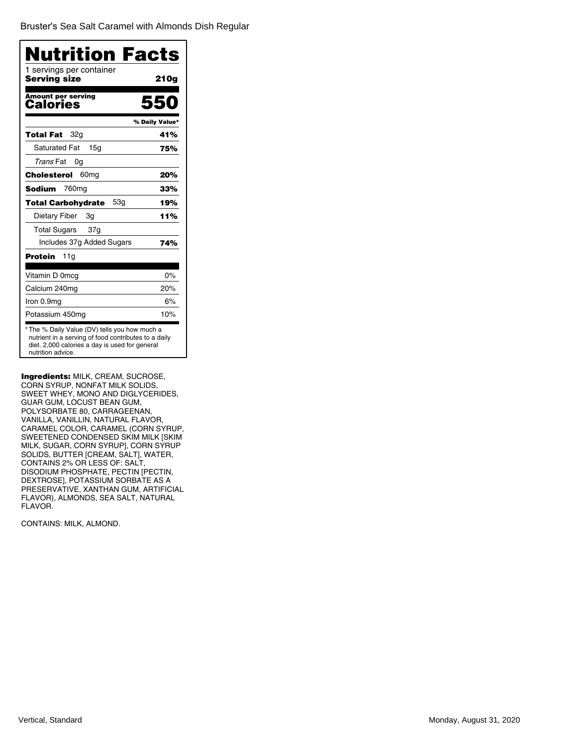Bruster's [Sea Salt Caramel with Almonds Dish Regular](�)

| 1 servings per container<br>Serving size | 21 Og          |
|------------------------------------------|----------------|
| <b>Amount per serving</b><br>Calories    | 550            |
|                                          | % Daily Value* |
| 32g<br>Total Fat                         | 41%            |
| <b>Saturated Fat</b><br>15a              | 75%            |
| Trans Fat<br>0g                          |                |
| Cholesterol<br>60 <sub>mg</sub>          | 20%            |
| Sodium<br>760 <sub>mg</sub>              | 33%            |
| 53g<br><b>Total Carbohydrate</b>         | 19%            |
| Dietary Fiber<br>3g                      | 11%            |
| <b>Total Sugars</b><br>37g               |                |
| Includes 37g Added Sugars                | 74%            |
| Protein<br>11g                           |                |
| Vitamin D 0mcg                           | 0%             |
| Calcium 240mg                            | 20%            |
| Iron 0.9mg                               | 6%             |
| Potassium 450mg                          | 10%            |

Ingredients: MILK, CREAM, SUCROSE, CORN SYRUP, NONFAT MILK SOLIDS, SWEET WHEY, MONO AND DIGLYCERIDES, GUAR GUM, LOCUST BEAN GUM, POLYSORBATE 80, CARRAGEENAN, VANILLA, VANILLIN, NATURAL FLAVOR, CARAMEL COLOR, CARAMEL (CORN SYRUP, SWEETENED CONDENSED SKIM MILK [SKIM MILK, SUGAR, CORN SYRUP], CORN SYRUP SOLIDS, BUTTER [CREAM, SALT], WATER, CONTAINS 2% OR LESS OF: SALT, DISODIUM PHOSPHATE, PECTIN [PECTIN, DEXTROSE], POTASSIUM SORBATE AS A PRESERVATIVE, XANTHAN GUM, ARTIFICIAL FLAVOR), ALMONDS, SEA SALT, NATURAL FLAVOR.

CONTAINS: MILK, ALMOND.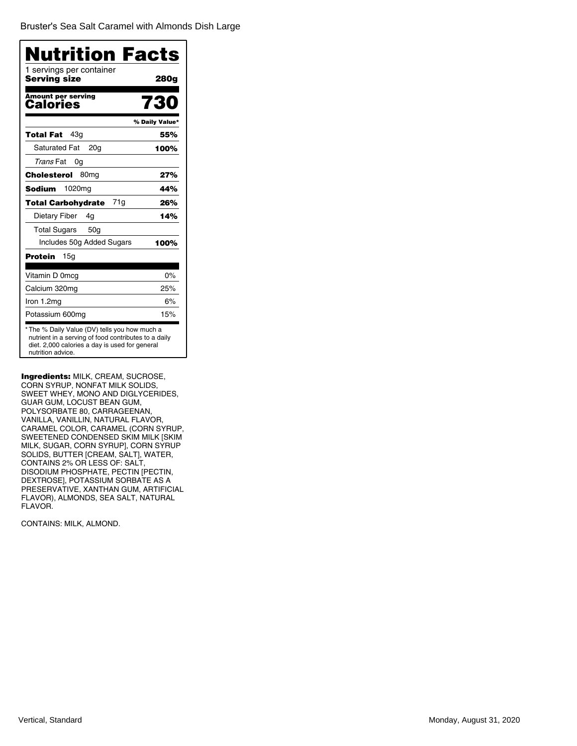Bruster's [Sea Salt Caramel with Almonds Dish Large](�)

| Nutrition Facts                          |                |
|------------------------------------------|----------------|
| 1 servings per container<br>Serving size | 280g           |
| <b>Amount per serving</b><br>Calories    | 730            |
|                                          | % Daily Value* |
| 43a<br>Total Fat                         | 55%            |
| <b>Saturated Fat</b><br>20 <sub>q</sub>  | 100%           |
| Trans Fat<br>0g                          |                |
| Cholesterol<br>80 <sub>mg</sub>          | 27%            |
| <b>Sodium</b><br>1020 <sub>mg</sub>      | 44%            |
| 71g<br><b>Total Carbohydrate</b>         | 26%            |
| Dietary Fiber<br>4g                      | 14%            |
| <b>Total Sugars</b><br>50 <sub>q</sub>   |                |
| Includes 50g Added Sugars                | 100%           |
| Protein<br>15 <sub>q</sub>               |                |
| Vitamin D 0mcg                           | 0%             |
| Calcium 320mg                            | 25%            |
| Iron 1.2mg                               | 6%             |
| Potassium 600mg                          | 15%            |

Ingredients: MILK, CREAM, SUCROSE, CORN SYRUP, NONFAT MILK SOLIDS, SWEET WHEY, MONO AND DIGLYCERIDES, GUAR GUM, LOCUST BEAN GUM, POLYSORBATE 80, CARRAGEENAN, VANILLA, VANILLIN, NATURAL FLAVOR, CARAMEL COLOR, CARAMEL (CORN SYRUP, SWEETENED CONDENSED SKIM MILK [SKIM MILK, SUGAR, CORN SYRUP], CORN SYRUP SOLIDS, BUTTER [CREAM, SALT], WATER, CONTAINS 2% OR LESS OF: SALT, DISODIUM PHOSPHATE, PECTIN [PECTIN, DEXTROSE], POTASSIUM SORBATE AS A PRESERVATIVE, XANTHAN GUM, ARTIFICIAL FLAVOR), ALMONDS, SEA SALT, NATURAL FLAVOR.

CONTAINS: MILK, ALMOND.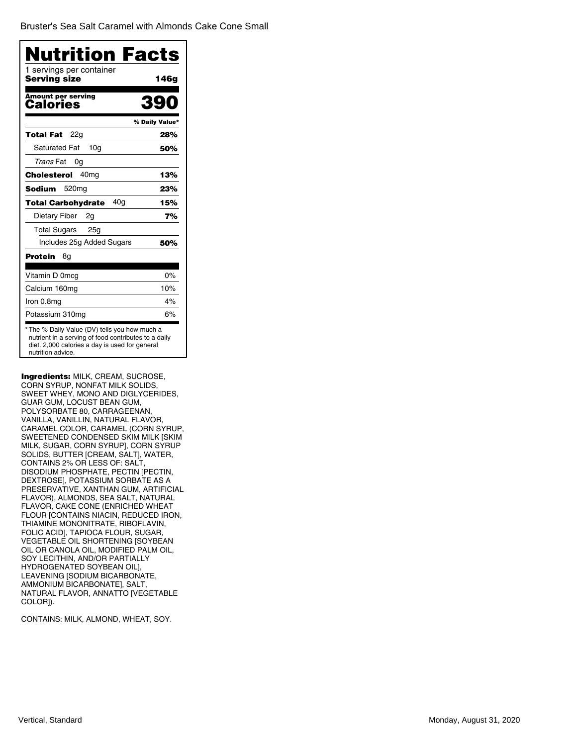Bruster's [Sea Salt Caramel with Almonds](�) Cake Cone Small

| <b>Nutrition Facts</b>                   |                |
|------------------------------------------|----------------|
| 1 servings per container<br>Serving size | 146g           |
| <b>Amount per serving</b><br>Calories    |                |
|                                          | % Daily Value* |
| 22g<br>Total Fat                         | 28%            |
| <b>Saturated Fat</b><br>10 <sub>q</sub>  | 50%            |
| Trans Fat<br>0g                          |                |
| 40 <sub>mq</sub><br>Cholesterol          | 13%            |
| Sodium<br>520 <sub>mg</sub>              | 23%            |
| 40a<br><b>Total Carbohydrate</b>         | 15%            |
| Dietary Fiber<br>2g                      | 7%             |
| <b>Total Sugars</b><br>25 <sub>g</sub>   |                |
| Includes 25g Added Sugars                | 50%            |
| Protein<br>8g                            |                |
| Vitamin D 0mcg                           | 0%             |
| Calcium 160mg                            | 10%            |
| Iron 0.8mg                               | 4%             |
| Potassium 310mg                          | 6%             |

Ingredients: MILK, CREAM, SUCROSE, CORN SYRUP, NONFAT MILK SOLIDS, SWEET WHEY, MONO AND DIGLYCERIDES, GUAR GUM, LOCUST BEAN GUM, POLYSORBATE 80, CARRAGEENAN, VANILLA, VANILLIN, NATURAL FLAVOR, CARAMEL COLOR, CARAMEL (CORN SYRUP, SWEETENED CONDENSED SKIM MILK [SKIM MILK, SUGAR, CORN SYRUP], CORN SYRUP SOLIDS, BUTTER [CREAM, SALT], WATER, CONTAINS 2% OR LESS OF: SALT, DISODIUM PHOSPHATE, PECTIN [PECTIN, DEXTROSE], POTASSIUM SORBATE AS A PRESERVATIVE, XANTHAN GUM, ARTIFICIAL FLAVOR), ALMONDS, SEA SALT, NATURAL FLAVOR, CAKE CONE (ENRICHED WHEAT FLOUR [CONTAINS NIACIN, REDUCED IRON, THIAMINE MONONITRATE, RIBOFLAVIN, FOLIC ACID], TAPIOCA FLOUR, SUGAR, VEGETABLE OIL SHORTENING [SOYBEAN OIL OR CANOLA OIL, MODIFIED PALM OIL, SOY LECITHIN, AND/OR PARTIALLY HYDROGENATED SOYBEAN OIL], LEAVENING [SODIUM BICARBONATE, AMMONIUM BICARBONATE], SALT, NATURAL FLAVOR, ANNATTO [VEGETABLE COLOR]).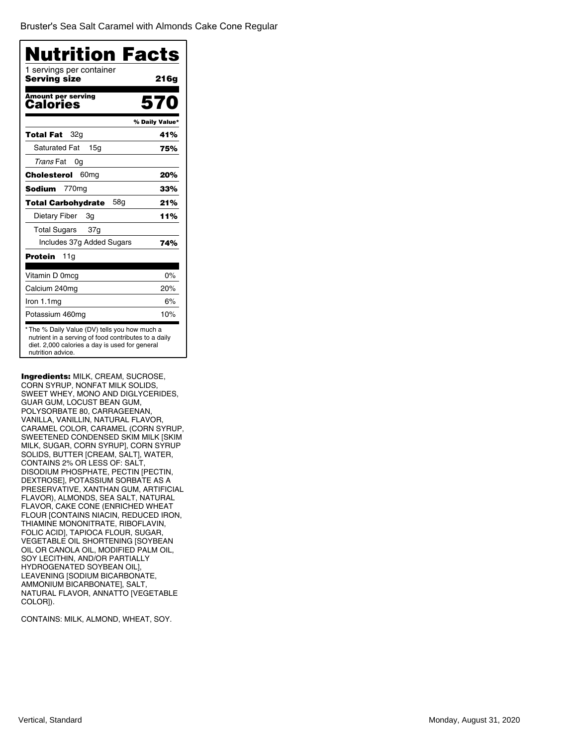Bruster's [Sea Salt Caramel with Almonds](�) Cake Cone Regular

| <b>Nutrition Facts</b><br>1 servings per container                                                                                                                          |                |
|-----------------------------------------------------------------------------------------------------------------------------------------------------------------------------|----------------|
| Serving size                                                                                                                                                                | 21 6 g         |
| Amount per serving<br>Calories                                                                                                                                              | 570            |
|                                                                                                                                                                             | % Daily Value* |
| Total Fat<br>32a                                                                                                                                                            | 41%            |
| <b>Saturated Fat</b><br>15q                                                                                                                                                 | 75%            |
| Trans Fat<br>0g                                                                                                                                                             |                |
| 60 <sub>mg</sub><br>Cholesterol                                                                                                                                             | 20%            |
| Sodium<br>770 <sub>mg</sub>                                                                                                                                                 | 33%            |
| 58 <sub>q</sub><br>Total Carbohydrate                                                                                                                                       | 21%            |
| Dietary Fiber<br>3g                                                                                                                                                         | 11%            |
| Total Sugars 37g                                                                                                                                                            |                |
| Includes 37g Added Sugars                                                                                                                                                   | 74%            |
| Protein<br>11g                                                                                                                                                              |                |
| Vitamin D 0mcg                                                                                                                                                              | 0%             |
| Calcium 240mg                                                                                                                                                               | 20%            |
| Iron 1.1mg                                                                                                                                                                  | 6%             |
| Potassium 460mg                                                                                                                                                             | 10%            |
| *The % Daily Value (DV) tells you how much a<br>nutrient in a serving of food contributes to a daily<br>diet. 2,000 calories a day is used for general<br>nutrition advice. |                |

Ingredients: MILK, CREAM, SUCROSE, CORN SYRUP, NONFAT MILK SOLIDS, SWEET WHEY, MONO AND DIGLYCERIDES, GUAR GUM, LOCUST BEAN GUM, POLYSORBATE 80, CARRAGEENAN, VANILLA, VANILLIN, NATURAL FLAVOR, CARAMEL COLOR, CARAMEL (CORN SYRUP, SWEETENED CONDENSED SKIM MILK [SKIM MILK, SUGAR, CORN SYRUP], CORN SYRUP SOLIDS, BUTTER [CREAM, SALT], WATER, CONTAINS 2% OR LESS OF: SALT, DISODIUM PHOSPHATE, PECTIN [PECTIN, DEXTROSE], POTASSIUM SORBATE AS A PRESERVATIVE, XANTHAN GUM, ARTIFICIAL FLAVOR), ALMONDS, SEA SALT, NATURAL FLAVOR, CAKE CONE (ENRICHED WHEAT FLOUR [CONTAINS NIACIN, REDUCED IRON, THIAMINE MONONITRATE, RIBOFLAVIN, FOLIC ACID], TAPIOCA FLOUR, SUGAR, VEGETABLE OIL SHORTENING [SOYBEAN OIL OR CANOLA OIL, MODIFIED PALM OIL, SOY LECITHIN, AND/OR PARTIALLY HYDROGENATED SOYBEAN OIL], LEAVENING [SODIUM BICARBONATE, AMMONIUM BICARBONATE], SALT, NATURAL FLAVOR, ANNATTO [VEGETABLE COLOR]).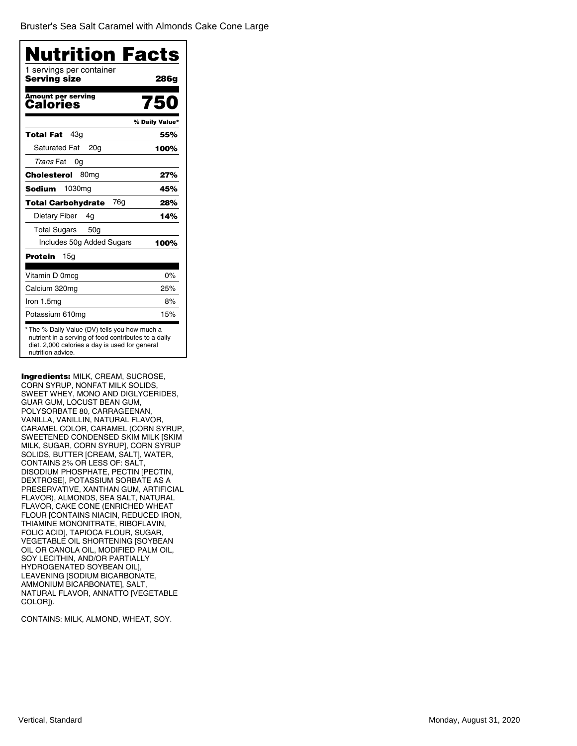Bruster's [Sea Salt Caramel with Almonds](�) Cake Cone Large

| Serving size<br><b>Amount per serving</b><br>Calories<br>43a<br>Total Fat<br><b>Saturated Fat</b><br>20 <sub>q</sub><br><i>Trans</i> Fat<br>0g<br>80 <sub>mg</sub><br><b>Cholesterol</b><br>1030 <sub>mq</sub><br><b>Sodium</b><br>76g<br><b>Total Carbohydrate</b> | 286g<br>750<br>% Daily Value*<br>55%<br>100%<br>27%<br>45% |
|---------------------------------------------------------------------------------------------------------------------------------------------------------------------------------------------------------------------------------------------------------------------|------------------------------------------------------------|
|                                                                                                                                                                                                                                                                     |                                                            |
|                                                                                                                                                                                                                                                                     |                                                            |
|                                                                                                                                                                                                                                                                     |                                                            |
|                                                                                                                                                                                                                                                                     |                                                            |
|                                                                                                                                                                                                                                                                     |                                                            |
|                                                                                                                                                                                                                                                                     |                                                            |
|                                                                                                                                                                                                                                                                     |                                                            |
|                                                                                                                                                                                                                                                                     |                                                            |
|                                                                                                                                                                                                                                                                     | 28%                                                        |
| Dietary Fiber<br>4g                                                                                                                                                                                                                                                 | 14%                                                        |
| <b>Total Sugars</b><br>50 <sub>q</sub>                                                                                                                                                                                                                              |                                                            |
| Includes 50g Added Sugars                                                                                                                                                                                                                                           | 100%                                                       |
| Protein<br>15g                                                                                                                                                                                                                                                      |                                                            |
| Vitamin D 0mcg                                                                                                                                                                                                                                                      | $0\%$                                                      |
| Calcium 320mg                                                                                                                                                                                                                                                       | 25%                                                        |
| Iron 1.5mg                                                                                                                                                                                                                                                          | 8%                                                         |
| Potassium 610mg                                                                                                                                                                                                                                                     | 15%                                                        |

Ingredients: MILK, CREAM, SUCROSE, CORN SYRUP, NONFAT MILK SOLIDS, SWEET WHEY, MONO AND DIGLYCERIDES, GUAR GUM, LOCUST BEAN GUM, POLYSORBATE 80, CARRAGEENAN, VANILLA, VANILLIN, NATURAL FLAVOR, CARAMEL COLOR, CARAMEL (CORN SYRUP, SWEETENED CONDENSED SKIM MILK [SKIM MILK, SUGAR, CORN SYRUP], CORN SYRUP SOLIDS, BUTTER [CREAM, SALT], WATER, CONTAINS 2% OR LESS OF: SALT, DISODIUM PHOSPHATE, PECTIN [PECTIN, DEXTROSE], POTASSIUM SORBATE AS A PRESERVATIVE, XANTHAN GUM, ARTIFICIAL FLAVOR), ALMONDS, SEA SALT, NATURAL FLAVOR, CAKE CONE (ENRICHED WHEAT FLOUR [CONTAINS NIACIN, REDUCED IRON, THIAMINE MONONITRATE, RIBOFLAVIN, FOLIC ACID], TAPIOCA FLOUR, SUGAR, VEGETABLE OIL SHORTENING [SOYBEAN OIL OR CANOLA OIL, MODIFIED PALM OIL, SOY LECITHIN, AND/OR PARTIALLY HYDROGENATED SOYBEAN OIL], LEAVENING [SODIUM BICARBONATE, AMMONIUM BICARBONATE], SALT, NATURAL FLAVOR, ANNATTO [VEGETABLE COLOR]).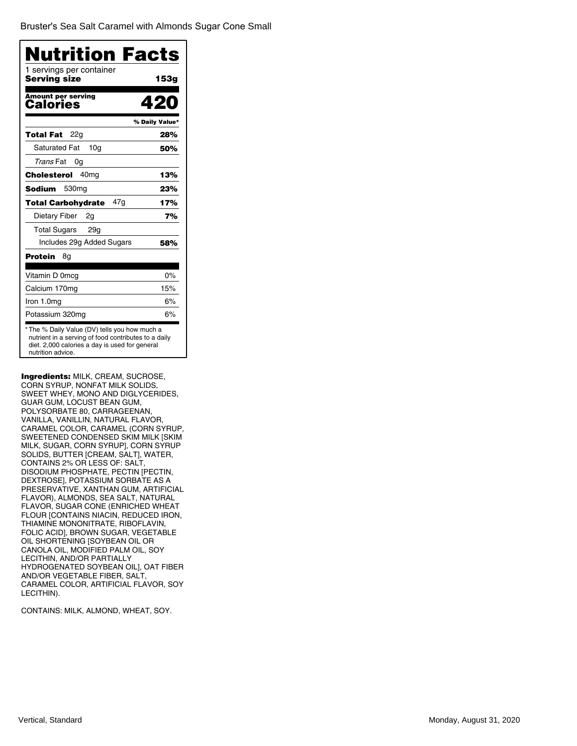Bruster's [Sea Salt Caramel with Almonds](�) Sugar Cone Small

| Nutrition Facts                          |                |
|------------------------------------------|----------------|
| 1 servings per container<br>Serving size | 153g           |
| <b>Amount per serving</b><br>Calories    | 420            |
|                                          | % Daily Value* |
| 22g<br>Total Fat                         | 28%            |
| <b>Saturated Fat</b><br>10 <sub>q</sub>  | 50%            |
| <i>Trans</i> Fat<br>0g                   |                |
| 40 <sub>mg</sub><br>Cholesterol          | 13%            |
| 530 <sub>mg</sub><br>Sodium              | 23%            |
| 47q<br>Total Carbohydrate                | 17%            |
| Dietary Fiber<br>2g                      | 7%             |
| <b>Total Sugars</b><br>29g               |                |
| Includes 29g Added Sugars                | 58%            |
| Protein<br>8g                            |                |
| Vitamin D 0mcg                           | 0%             |
| Calcium 170mg                            | 15%            |
| Iron 1.0mg                               | 6%             |
| Potassium 320mg                          | 6%             |

Ingredients: MILK, CREAM, SUCROSE, CORN SYRUP, NONFAT MILK SOLIDS, SWEET WHEY, MONO AND DIGLYCERIDES, GUAR GUM, LOCUST BEAN GUM, POLYSORBATE 80, CARRAGEENAN, VANILLA, VANILLIN, NATURAL FLAVOR, CARAMEL COLOR, CARAMEL (CORN SYRUP, SWEETENED CONDENSED SKIM MILK [SKIM MILK, SUGAR, CORN SYRUP], CORN SYRUP SOLIDS, BUTTER [CREAM, SALT], WATER, CONTAINS 2% OR LESS OF: SALT, DISODIUM PHOSPHATE, PECTIN [PECTIN, DEXTROSE], POTASSIUM SORBATE AS A PRESERVATIVE, XANTHAN GUM, ARTIFICIAL FLAVOR), ALMONDS, SEA SALT, NATURAL FLAVOR, SUGAR CONE (ENRICHED WHEAT FLOUR [CONTAINS NIACIN, REDUCED IRON, THIAMINE MONONITRATE, RIBOFLAVIN, FOLIC ACID], BROWN SUGAR, VEGETABLE OIL SHORTENING [SOYBEAN OIL OR CANOLA OIL, MODIFIED PALM OIL, SOY LECITHIN, AND/OR PARTIALLY HYDROGENATED SOYBEAN OIL], OAT FIBER AND/OR VEGETABLE FIBER, SALT, CARAMEL COLOR, ARTIFICIAL FLAVOR, SOY LECITHIN).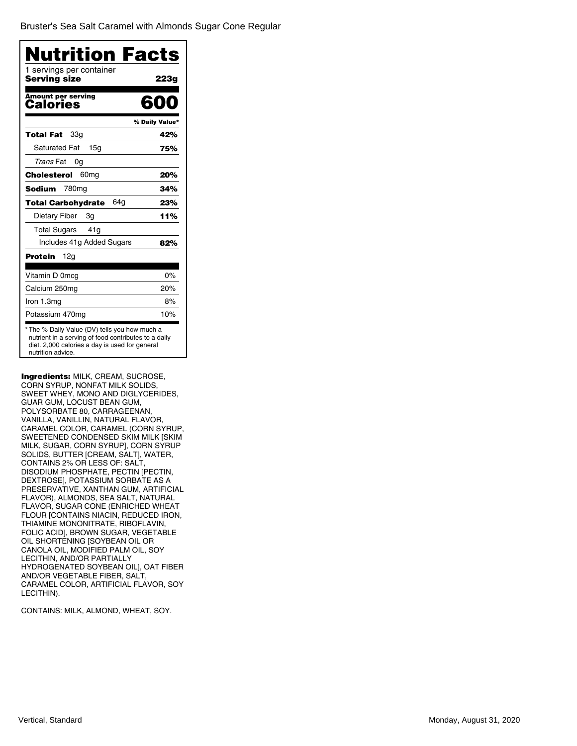Bruster's [Sea Salt Caramel with Almonds](�) Sugar Cone Regular

| 1 servings per container<br>Serving size | 223g           |
|------------------------------------------|----------------|
| <b>Amount per serving</b><br>Calories    | 600            |
|                                          | % Daily Value* |
| 33g<br>Total Fat                         | 42%            |
| <b>Saturated Fat</b><br>15a              | 75%            |
| Trans Fat<br>0g                          |                |
| Cholesterol<br>60 <sub>mg</sub>          | 20%            |
| Sodium<br>780 <sub>mg</sub>              | 34%            |
| 64a<br><b>Total Carbohydrate</b>         | 23%            |
| Dietary Fiber<br>3g                      | 11%            |
| <b>Total Sugars</b><br>41g               |                |
| Includes 41g Added Sugars                | 82%            |
| Protein<br>12g                           |                |
| Vitamin D 0mcg                           | 0%             |
| Calcium 250mg                            | 20%            |
| Iron 1.3mg                               | 8%             |
| Potassium 470mg                          | 10%            |

Ingredients: MILK, CREAM, SUCROSE, CORN SYRUP, NONFAT MILK SOLIDS, SWEET WHEY, MONO AND DIGLYCERIDES, GUAR GUM, LOCUST BEAN GUM, POLYSORBATE 80, CARRAGEENAN, VANILLA, VANILLIN, NATURAL FLAVOR, CARAMEL COLOR, CARAMEL (CORN SYRUP, SWEETENED CONDENSED SKIM MILK [SKIM MILK, SUGAR, CORN SYRUP], CORN SYRUP SOLIDS, BUTTER [CREAM, SALT], WATER, CONTAINS 2% OR LESS OF: SALT, DISODIUM PHOSPHATE, PECTIN [PECTIN, DEXTROSE], POTASSIUM SORBATE AS A PRESERVATIVE, XANTHAN GUM, ARTIFICIAL FLAVOR), ALMONDS, SEA SALT, NATURAL FLAVOR, SUGAR CONE (ENRICHED WHEAT FLOUR [CONTAINS NIACIN, REDUCED IRON, THIAMINE MONONITRATE, RIBOFLAVIN, FOLIC ACID], BROWN SUGAR, VEGETABLE OIL SHORTENING [SOYBEAN OIL OR CANOLA OIL, MODIFIED PALM OIL, SOY LECITHIN, AND/OR PARTIALLY HYDROGENATED SOYBEAN OIL], OAT FIBER AND/OR VEGETABLE FIBER, SALT, CARAMEL COLOR, ARTIFICIAL FLAVOR, SOY LECITHIN).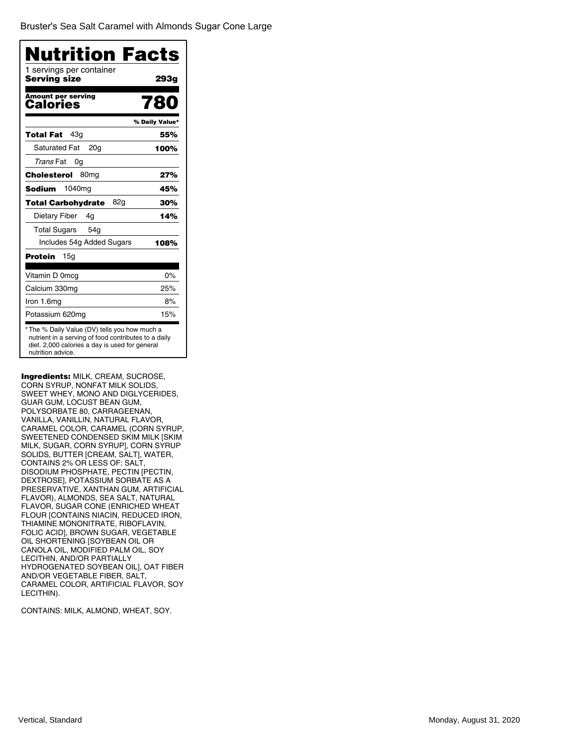Bruster's [Sea Salt Caramel with Almonds](�) Sugar Cone Large

| Nutrition Facts                                 |                |
|-------------------------------------------------|----------------|
| 1 servings per container<br><b>Serving size</b> | 293g           |
| <b>Amount per serving</b><br>Calories           | 780            |
|                                                 | % Daily Value* |
| 43q<br>Total Fat                                | 55%            |
| <b>Saturated Fat</b><br>20a                     | 100%           |
| <i>Trans</i> Fat<br>0g                          |                |
| 80 <sub>mg</sub><br>Cholesterol                 | 27%            |
| 1040 <sub>mg</sub><br>Sodium                    | 45%            |
| 82g<br>Total Carbohydrate                       | 30%            |
| Dietary Fiber<br>4g                             | 14%            |
| <b>Total Sugars</b><br>54 <sub>g</sub>          |                |
| Includes 54g Added Sugars                       | 108%           |
| Protein<br>15g                                  |                |
| Vitamin D 0mcg                                  | 0%             |
| Calcium 330mg                                   | 25%            |
| Iron 1.6mg                                      | 8%             |
| Potassium 620mg                                 | 15%            |

Ingredients: MILK, CREAM, SUCROSE, CORN SYRUP, NONFAT MILK SOLIDS, SWEET WHEY, MONO AND DIGLYCERIDES, GUAR GUM, LOCUST BEAN GUM, POLYSORBATE 80, CARRAGEENAN, VANILLA, VANILLIN, NATURAL FLAVOR, CARAMEL COLOR, CARAMEL (CORN SYRUP, SWEETENED CONDENSED SKIM MILK [SKIM MILK, SUGAR, CORN SYRUP], CORN SYRUP SOLIDS, BUTTER [CREAM, SALT], WATER, CONTAINS 2% OR LESS OF: SALT, DISODIUM PHOSPHATE, PECTIN [PECTIN, DEXTROSE], POTASSIUM SORBATE AS A PRESERVATIVE, XANTHAN GUM, ARTIFICIAL FLAVOR), ALMONDS, SEA SALT, NATURAL FLAVOR, SUGAR CONE (ENRICHED WHEAT FLOUR [CONTAINS NIACIN, REDUCED IRON, THIAMINE MONONITRATE, RIBOFLAVIN, FOLIC ACID], BROWN SUGAR, VEGETABLE OIL SHORTENING [SOYBEAN OIL OR CANOLA OIL, MODIFIED PALM OIL, SOY LECITHIN, AND/OR PARTIALLY HYDROGENATED SOYBEAN OIL], OAT FIBER AND/OR VEGETABLE FIBER, SALT, CARAMEL COLOR, ARTIFICIAL FLAVOR, SOY LECITHIN).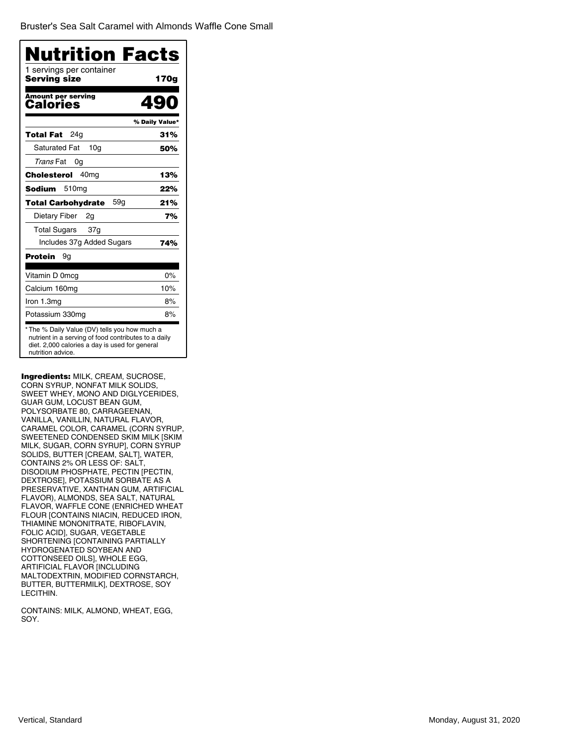Bruster's [Sea Salt Caramel with Almonds](�) Waffle Cone Small

| 1 servings per container<br>Serving size | 170g           |
|------------------------------------------|----------------|
| <b>Amount per serving</b><br>Calories    |                |
|                                          | % Daily Value* |
| 24q<br>Total Fat                         | 31%            |
| <b>Saturated Fat</b><br>10 <sub>q</sub>  | 50%            |
| Trans Fat<br>0g                          |                |
| Cholesterol<br>40 <sub>mq</sub>          | 13%            |
| Sodium<br>510 <sub>mg</sub>              | 22%            |
| 59g<br><b>Total Carbohydrate</b>         | 21%            |
| Dietary Fiber<br>2g                      | 7%             |
| <b>Total Sugars</b><br>37g               |                |
| Includes 37g Added Sugars                | 74%            |
| Protein<br>9g                            |                |
| Vitamin D 0mcg                           | 0%             |
| Calcium 160mg                            | 10%            |
| Iron 1.3mg                               | 8%             |
| Potassium 330mg                          | 8%             |

Ingredients: MILK, CREAM, SUCROSE, CORN SYRUP, NONFAT MILK SOLIDS, SWEET WHEY, MONO AND DIGLYCERIDES, GUAR GUM, LOCUST BEAN GUM, POLYSORBATE 80, CARRAGEENAN, VANILLA, VANILLIN, NATURAL FLAVOR, CARAMEL COLOR, CARAMEL (CORN SYRUP, SWEETENED CONDENSED SKIM MILK [SKIM MILK, SUGAR, CORN SYRUP], CORN SYRUP SOLIDS, BUTTER [CREAM, SALT], WATER, CONTAINS 2% OR LESS OF: SALT, DISODIUM PHOSPHATE, PECTIN [PECTIN, DEXTROSE], POTASSIUM SORBATE AS A PRESERVATIVE, XANTHAN GUM, ARTIFICIAL FLAVOR), ALMONDS, SEA SALT, NATURAL FLAVOR, WAFFLE CONE (ENRICHED WHEAT FLOUR [CONTAINS NIACIN, REDUCED IRON, THIAMINE MONONITRATE, RIBOFLAVIN, FOLIC ACID], SUGAR, VEGETABLE SHORTENING [CONTAINING PARTIALLY HYDROGENATED SOYBEAN AND COTTONSEED OILS], WHOLE EGG, ARTIFICIAL FLAVOR [INCLUDING MALTODEXTRIN, MODIFIED CORNSTARCH, BUTTER, BUTTERMILK], DEXTROSE, SOY LECITHIN.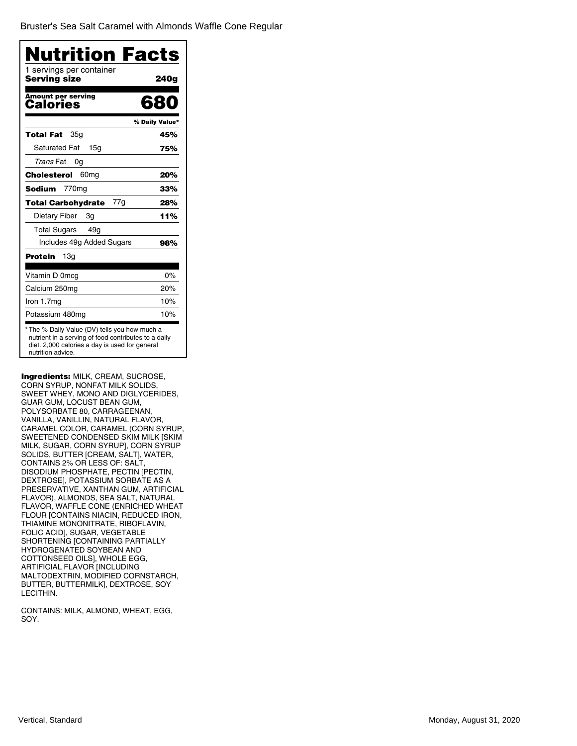Bruster's [Sea Salt Caramel with Almonds](�) Waffle Cone Regular

| Nutrition Facts<br>1 servings per container<br>Serving size | 240g           |
|-------------------------------------------------------------|----------------|
| <b>Amount per serving</b><br>Calories                       | 680            |
|                                                             | % Daily Value* |
| 35g<br>Total Fat                                            | 45%            |
| <b>Saturated Fat</b><br>15a                                 | 75%            |
| <i>Trans</i> Fat<br>0g                                      |                |
| Cholesterol<br>60 <sub>mg</sub>                             | 20%            |
| 770mg<br>Sodium                                             | 33%            |
| 77g<br>Total Carbohydrate                                   | 28%            |
| Dietary Fiber<br>Зg                                         | 11%            |
| <b>Total Sugars</b><br>49g                                  |                |
| Includes 49g Added Sugars                                   | 98%            |
| Protein<br>13g                                              |                |
| Vitamin D 0mcg                                              | $0\%$          |
| Calcium 250mg                                               | 20%            |
| Iron 1.7mg                                                  | 10%            |
| Potassium 480mg                                             | 10%            |

Ingredients: MILK, CREAM, SUCROSE, CORN SYRUP, NONFAT MILK SOLIDS, SWEET WHEY, MONO AND DIGLYCERIDES, GUAR GUM, LOCUST BEAN GUM, POLYSORBATE 80, CARRAGEENAN, VANILLA, VANILLIN, NATURAL FLAVOR, CARAMEL COLOR, CARAMEL (CORN SYRUP, SWEETENED CONDENSED SKIM MILK [SKIM MILK, SUGAR, CORN SYRUP], CORN SYRUP SOLIDS, BUTTER [CREAM, SALT], WATER, CONTAINS 2% OR LESS OF: SALT, DISODIUM PHOSPHATE, PECTIN [PECTIN, DEXTROSE], POTASSIUM SORBATE AS A PRESERVATIVE, XANTHAN GUM, ARTIFICIAL FLAVOR), ALMONDS, SEA SALT, NATURAL FLAVOR, WAFFLE CONE (ENRICHED WHEAT FLOUR [CONTAINS NIACIN, REDUCED IRON, THIAMINE MONONITRATE, RIBOFLAVIN, FOLIC ACID], SUGAR, VEGETABLE SHORTENING [CONTAINING PARTIALLY HYDROGENATED SOYBEAN AND COTTONSEED OILS], WHOLE EGG, ARTIFICIAL FLAVOR [INCLUDING MALTODEXTRIN, MODIFIED CORNSTARCH, BUTTER, BUTTERMILK], DEXTROSE, SOY LECITHIN.